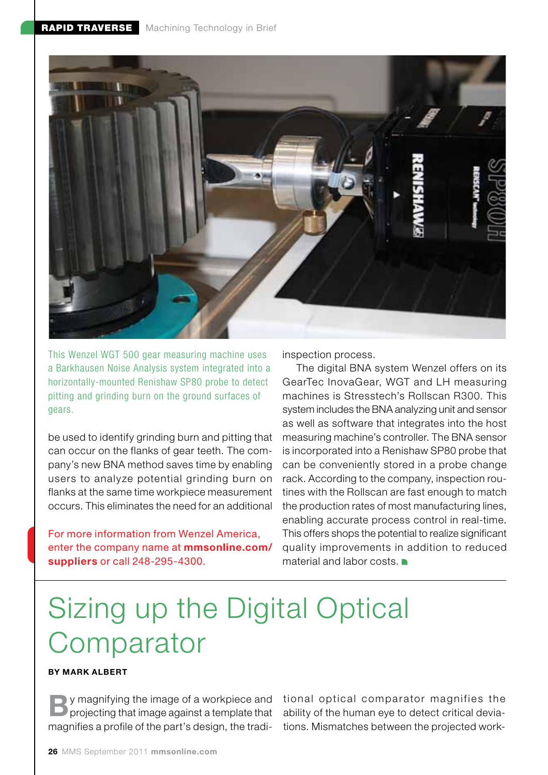

This Wenzel WGT 500 gear measuring machine uses a Barkhausen Noise Analysis system integrated into a horizontally-mounted Renishaw SP80 probe to detect pitting and grinding burn on the ground surfaces of gears.

be used to identify grinding burn and pitting that can occur on the flanks of gear teeth. The company's new BNA method saves time by enabling users to analyze potential grinding burn on flanks at the same time workpiece measurement occurs. This eliminates the need for an additional

For more information from Wenzel America, enter the company name at mmsonline.com/ suppliers or call 248-295-4300.

inspection process.

The digital BNA system Wenzel offers on its GearTec InovaGear, WGT and LH measuring machines is Stresstech's Rollscan R300. This system includes the BNA analyzing unit and sensor as well as software that integrates into the host measuring machine's controller. The BNA sensor is incorporated into a Renishaw SP80 probe that can be conveniently stored in a probe change rack. According to the company, inspection routines with the Rollscan are fast enough to match the production rates of most manufacturing lines, enabling accurate process control in real-time. This offers shops the potential to realize significant quality improvements in addition to reduced material and labor costs.

## Sizing up the Digital Optical **Comparator**

## By Mark Albert

**By** magnifying the image of a workpiece and tional optical comparator magnifies the **B** projecting that image against a template that ability of the human eye to detect critical deviaprojecting that image against a template that magnifies a profile of the part's design, the tradi-

ability of the human eye to detect critical deviations. Mismatches between the projected work-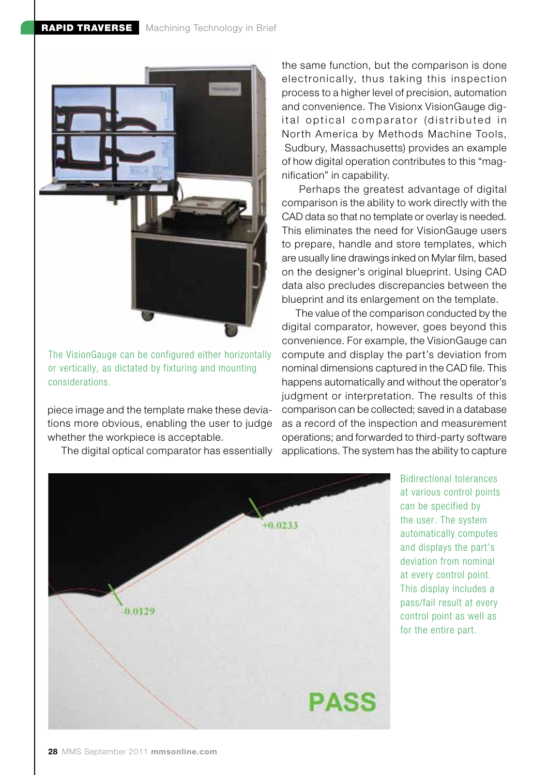

The VisionGauge can be configured either horizontally or vertically, as dictated by fixturing and mounting considerations.

piece image and the template make these deviations more obvious, enabling the user to judge whether the workpiece is acceptable.

The digital optical comparator has essentially

the same function, but the comparison is done electronically, thus taking this inspection process to a higher level of precision, automation and convenience. The Visionx VisionGauge digital optical comparator (distributed in North America by Methods Machine Tools, Sudbury, Massachusetts) provides an example of how digital operation contributes to this "magnification" in capability.

 Perhaps the greatest advantage of digital comparison is the ability to work directly with the CAD data so that no template or overlay is needed. This eliminates the need for VisionGauge users to prepare, handle and store templates, which are usually line drawings inked on Mylar film, based on the designer's original blueprint. Using CAD data also precludes discrepancies between the blueprint and its enlargement on the template.

The value of the comparison conducted by the digital comparator, however, goes beyond this convenience. For example, the VisionGauge can compute and display the part's deviation from nominal dimensions captured in the CAD file. This happens automatically and without the operator's judgment or interpretation. The results of this comparison can be collected; saved in a database as a record of the inspection and measurement operations; and forwarded to third-party software applications. The system has the ability to capture



Bidirectional tolerances at various control points can be specified by the user. The system automatically computes and displays the part's deviation from nominal at every control point. This display includes a pass/fail result at every control point as well as for the entire part.